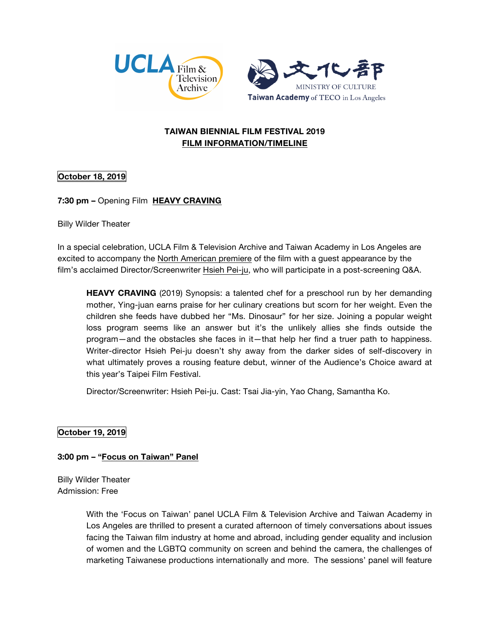



# **TAIWAN BIENNIAL FILM FESTIVAL 2019 FILM INFORMATION/TIMELINE**

# **October 18, 2019**

# **7:30 pm –** Opening Film **HEAVY CRAVING**

Billy Wilder Theater

In a special celebration, UCLA Film & Television Archive and Taiwan Academy in Los Angeles are excited to accompany the North American premiere of the film with a guest appearance by the film's acclaimed Director/Screenwriter Hsieh Pei-ju, who will participate in a post-screening Q&A.

**HEAVY CRAVING** (2019) Synopsis: a talented chef for a preschool run by her demanding mother, Ying-juan earns praise for her culinary creations but scorn for her weight. Even the children she feeds have dubbed her "Ms. Dinosaur" for her size. Joining a popular weight loss program seems like an answer but it's the unlikely allies she finds outside the program—and the obstacles she faces in it—that help her find a truer path to happiness. Writer-director Hsieh Pei-ju doesn't shy away from the darker sides of self-discovery in what ultimately proves a rousing feature debut, winner of the Audience's Choice award at this year's Taipei Film Festival.

Director/Screenwriter: Hsieh Pei-ju. Cast: Tsai Jia-yin, Yao Chang, Samantha Ko.

# **October 19, 2019**

#### **3:00 pm – "Focus on Taiwan" Panel**

Billy Wilder Theater Admission: Free

> With the 'Focus on Taiwan' panel UCLA Film & Television Archive and Taiwan Academy in Los Angeles are thrilled to present a curated afternoon of timely conversations about issues facing the Taiwan film industry at home and abroad, including gender equality and inclusion of women and the LGBTQ community on screen and behind the camera, the challenges of marketing Taiwanese productions internationally and more. The sessions' panel will feature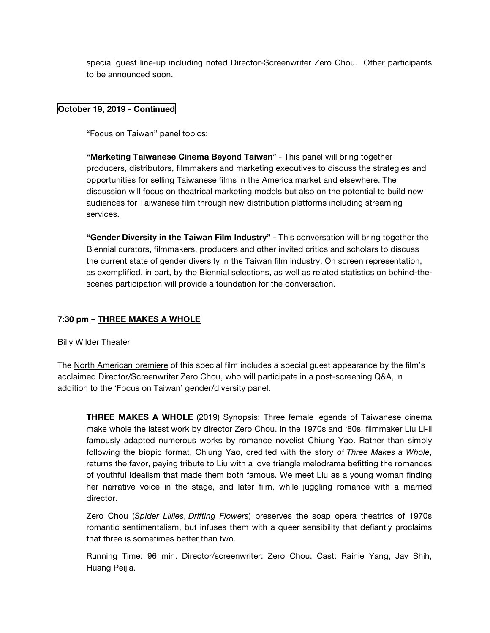special guest line-up including noted Director-Screenwriter Zero Chou. Other participants to be announced soon.

#### **October 19, 2019 - Continued**

"Focus on Taiwan" panel topics:

**"Marketing Taiwanese Cinema Beyond Taiwan**" - This panel will bring together producers, distributors, filmmakers and marketing executives to discuss the strategies and opportunities for selling Taiwanese films in the America market and elsewhere. The discussion will focus on theatrical marketing models but also on the potential to build new audiences for Taiwanese film through new distribution platforms including streaming services.

**"Gender Diversity in the Taiwan Film Industry"** - This conversation will bring together the Biennial curators, filmmakers, producers and other invited critics and scholars to discuss the current state of gender diversity in the Taiwan film industry. On screen representation, as exemplified, in part, by the Biennial selections, as well as related statistics on behind-thescenes participation will provide a foundation for the conversation.

## **7:30 pm – THREE MAKES A WHOLE**

Billy Wilder Theater

The North American premiere of this special film includes a special guest appearance by the film's acclaimed Director/Screenwriter Zero Chou, who will participate in a post-screening Q&A, in addition to the 'Focus on Taiwan' gender/diversity panel.

**THREE MAKES A WHOLE** (2019) Synopsis: Three female legends of Taiwanese cinema make whole the latest work by director Zero Chou. In the 1970s and '80s, filmmaker Liu Li-li famously adapted numerous works by romance novelist Chiung Yao. Rather than simply following the biopic format, Chiung Yao, credited with the story of *Three Makes a Whole*, returns the favor, paying tribute to Liu with a love triangle melodrama befitting the romances of youthful idealism that made them both famous. We meet Liu as a young woman finding her narrative voice in the stage, and later film, while juggling romance with a married director.

Zero Chou (*Spider Lillies*, *Drifting Flowers*) preserves the soap opera theatrics of 1970s romantic sentimentalism, but infuses them with a queer sensibility that defiantly proclaims that three is sometimes better than two.

Running Time: 96 min. Director/screenwriter: Zero Chou. Cast: Rainie Yang, Jay Shih, Huang Peijia.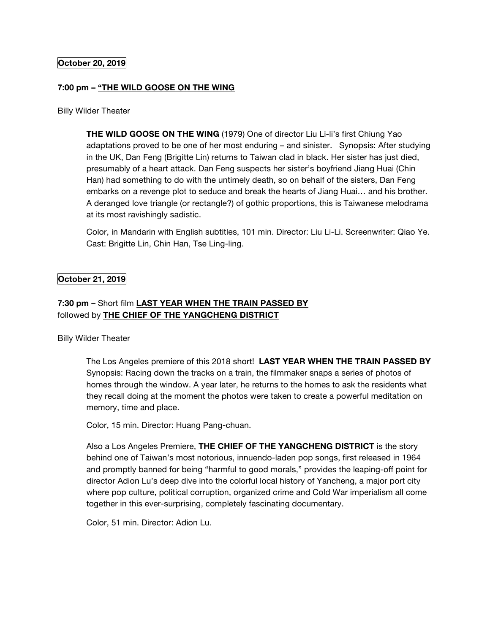## **October 20, 2019**

#### **7:00 pm – "THE WILD GOOSE ON THE WING**

#### Billy Wilder Theater

**THE WILD GOOSE ON THE WING** (1979) One of director Liu Li-li's first Chiung Yao adaptations proved to be one of her most enduring – and sinister. Synopsis: After studying in the UK, Dan Feng (Brigitte Lin) returns to Taiwan clad in black. Her sister has just died, presumably of a heart attack. Dan Feng suspects her sister's boyfriend Jiang Huai (Chin Han) had something to do with the untimely death, so on behalf of the sisters, Dan Feng embarks on a revenge plot to seduce and break the hearts of Jiang Huai… and his brother. A deranged love triangle (or rectangle?) of gothic proportions, this is Taiwanese melodrama at its most ravishingly sadistic.

Color, in Mandarin with English subtitles, 101 min. Director: Liu Li-Li. Screenwriter: Qiao Ye. Cast: Brigitte Lin, Chin Han, Tse Ling-ling.

## **October 21, 2019**

# **7:30 pm –** Short film **LAST YEAR WHEN THE TRAIN PASSED BY** followed by **THE CHIEF OF THE YANGCHENG DISTRICT**

Billy Wilder Theater

The Los Angeles premiere of this 2018 short! **LAST YEAR WHEN THE TRAIN PASSED BY** Synopsis: Racing down the tracks on a train, the filmmaker snaps a series of photos of homes through the window. A year later, he returns to the homes to ask the residents what they recall doing at the moment the photos were taken to create a powerful meditation on memory, time and place.

Color, 15 min. Director: Huang Pang-chuan.

Also a Los Angeles Premiere, **THE CHIEF OF THE YANGCHENG DISTRICT** is the story behind one of Taiwan's most notorious, innuendo-laden pop songs, first released in 1964 and promptly banned for being "harmful to good morals," provides the leaping-off point for director Adion Lu's deep dive into the colorful local history of Yancheng, a major port city where pop culture, political corruption, organized crime and Cold War imperialism all come together in this ever-surprising, completely fascinating documentary.

Color, 51 min. Director: Adion Lu.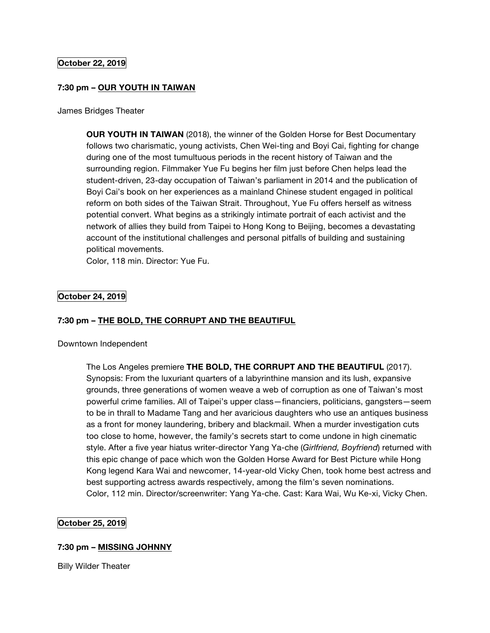## **October 22, 2019**

#### **7:30 pm – OUR YOUTH IN TAIWAN**

James Bridges Theater

**OUR YOUTH IN TAIWAN** (2018), the winner of the Golden Horse for Best Documentary follows two charismatic, young activists, Chen Wei-ting and Boyi Cai, fighting for change during one of the most tumultuous periods in the recent history of Taiwan and the surrounding region. Filmmaker Yue Fu begins her film just before Chen helps lead the student-driven, 23-day occupation of Taiwan's parliament in 2014 and the publication of Boyi Cai's book on her experiences as a mainland Chinese student engaged in political reform on both sides of the Taiwan Strait. Throughout, Yue Fu offers herself as witness potential convert. What begins as a strikingly intimate portrait of each activist and the network of allies they build from Taipei to Hong Kong to Beijing, becomes a devastating account of the institutional challenges and personal pitfalls of building and sustaining political movements.

Color, 118 min. Director: Yue Fu.

## **October 24, 2019**

#### **7:30 pm – THE BOLD, THE CORRUPT AND THE BEAUTIFUL**

Downtown Independent

The Los Angeles premiere **THE BOLD, THE CORRUPT AND THE BEAUTIFUL** (2017). Synopsis: From the luxuriant quarters of a labyrinthine mansion and its lush, expansive grounds, three generations of women weave a web of corruption as one of Taiwan's most powerful crime families. All of Taipei's upper class—financiers, politicians, gangsters—seem to be in thrall to Madame Tang and her avaricious daughters who use an antiques business as a front for money laundering, bribery and blackmail. When a murder investigation cuts too close to home, however, the family's secrets start to come undone in high cinematic style. After a five year hiatus writer-director Yang Ya-che (*Girlfriend, Boyfriend*) returned with this epic change of pace which won the Golden Horse Award for Best Picture while Hong Kong legend Kara Wai and newcomer, 14-year-old Vicky Chen, took home best actress and best supporting actress awards respectively, among the film's seven nominations. Color, 112 min. Director/screenwriter: Yang Ya-che. Cast: Kara Wai, Wu Ke-xi, Vicky Chen.

#### **October 25, 2019**

#### **7:30 pm – MISSING JOHNNY**

Billy Wilder Theater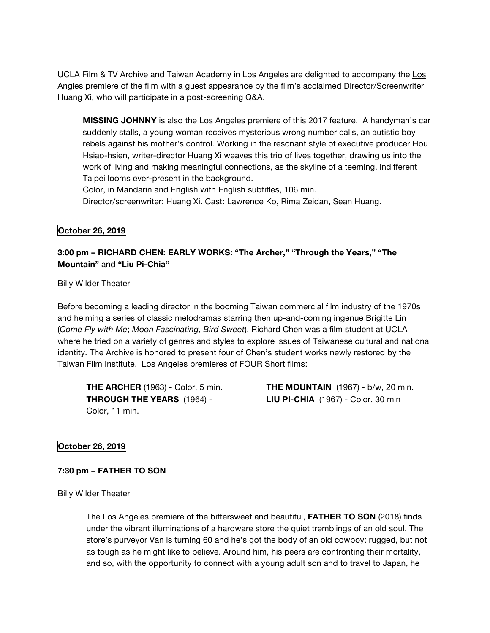UCLA Film & TV Archive and Taiwan Academy in Los Angeles are delighted to accompany the Los Angles premiere of the film with a guest appearance by the film's acclaimed Director/Screenwriter Huang Xi, who will participate in a post-screening Q&A.

**MISSING JOHNNY** is also the Los Angeles premiere of this 2017 feature. A handyman's car suddenly stalls, a young woman receives mysterious wrong number calls, an autistic boy rebels against his mother's control. Working in the resonant style of executive producer Hou Hsiao-hsien, writer-director Huang Xi weaves this trio of lives together, drawing us into the work of living and making meaningful connections, as the skyline of a teeming, indifferent Taipei looms ever-present in the background.

Color, in Mandarin and English with English subtitles, 106 min. Director/screenwriter: Huang Xi. Cast: Lawrence Ko, Rima Zeidan, Sean Huang.

## **October 26, 2019**

# **3:00 pm – RICHARD CHEN: EARLY WORKS: "The Archer," "Through the Years," "The Mountain"** and **"Liu Pi-Chia"**

Billy Wilder Theater

Before becoming a leading director in the booming Taiwan commercial film industry of the 1970s and helming a series of classic melodramas starring then up-and-coming ingenue Brigitte Lin (*Come Fly with Me*; *Moon Fascinating, Bird Sweet*), Richard Chen was a film student at UCLA where he tried on a variety of genres and styles to explore issues of Taiwanese cultural and national identity. The Archive is honored to present four of Chen's student works newly restored by the Taiwan Film Institute. Los Angeles premieres of FOUR Short films:

**THE ARCHER** (1963) - Color, 5 min. **THROUGH THE YEARS** (1964) - Color, 11 min.

**THE MOUNTAIN** (1967) - b/w, 20 min. **LIU PI-CHIA** (1967) - Color, 30 min

# **October 26, 2019**

#### **7:30 pm – FATHER TO SON**

Billy Wilder Theater

The Los Angeles premiere of the bittersweet and beautiful, **FATHER TO SON** (2018) finds under the vibrant illuminations of a hardware store the quiet tremblings of an old soul. The store's purveyor Van is turning 60 and he's got the body of an old cowboy: rugged, but not as tough as he might like to believe. Around him, his peers are confronting their mortality, and so, with the opportunity to connect with a young adult son and to travel to Japan, he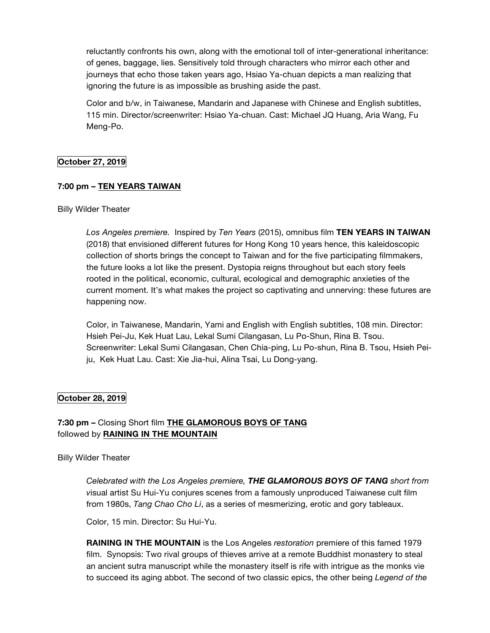reluctantly confronts his own, along with the emotional toll of inter-generational inheritance: of genes, baggage, lies. Sensitively told through characters who mirror each other and journeys that echo those taken years ago, Hsiao Ya-chuan depicts a man realizing that ignoring the future is as impossible as brushing aside the past.

Color and b/w, in Taiwanese, Mandarin and Japanese with Chinese and English subtitles, 115 min. Director/screenwriter: Hsiao Ya-chuan. Cast: Michael JQ Huang, Aria Wang, Fu Meng-Po.

# **October 27, 2019**

# **7:00 pm – TEN YEARS TAIWAN**

#### Billy Wilder Theater

*Los Angeles premiere.* Inspired by *Ten Years* (2015), omnibus film **TEN YEARS IN TAIWAN** (2018) that envisioned different futures for Hong Kong 10 years hence, this kaleidoscopic collection of shorts brings the concept to Taiwan and for the five participating filmmakers, the future looks a lot like the present. Dystopia reigns throughout but each story feels rooted in the political, economic, cultural, ecological and demographic anxieties of the current moment. It's what makes the project so captivating and unnerving: these futures are happening now.

Color, in Taiwanese, Mandarin, Yami and English with English subtitles, 108 min. Director: Hsieh Pei-Ju, Kek Huat Lau, Lekal Sumi Cilangasan, Lu Po-Shun, Rina B. Tsou. Screenwriter: Lekal Sumi Cilangasan, Chen Chia-ping, Lu Po-shun, Rina B. Tsou, Hsieh Peiju, Kek Huat Lau. Cast: Xie Jia-hui, Alina Tsai, Lu Dong-yang.

#### **October 28, 2019**

# **7:30 pm –** Closing Short film **THE GLAMOROUS BOYS OF TANG** followed by **RAINING IN THE MOUNTAIN**

Billy Wilder Theater

*Celebrated with the Los Angeles premiere, THE GLAMOROUS BOYS OF TANG short from v*isual artist Su Hui-Yu conjures scenes from a famously unproduced Taiwanese cult film from 1980s, *Tang Chao Cho Li*, as a series of mesmerizing, erotic and gory tableaux.

Color, 15 min. Director: Su Hui-Yu.

**RAINING IN THE MOUNTAIN** is the Los Angeles *restoration* premiere of this famed 1979 film. Synopsis: Two rival groups of thieves arrive at a remote Buddhist monastery to steal an ancient sutra manuscript while the monastery itself is rife with intrigue as the monks vie to succeed its aging abbot. The second of two classic epics, the other being *Legend of the*